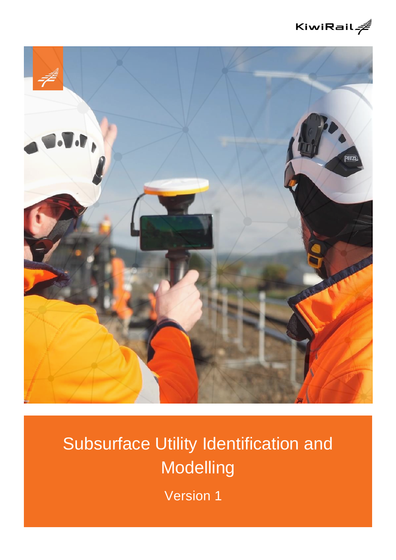



# Subsurface Utility Identification and **Modelling**

Version 1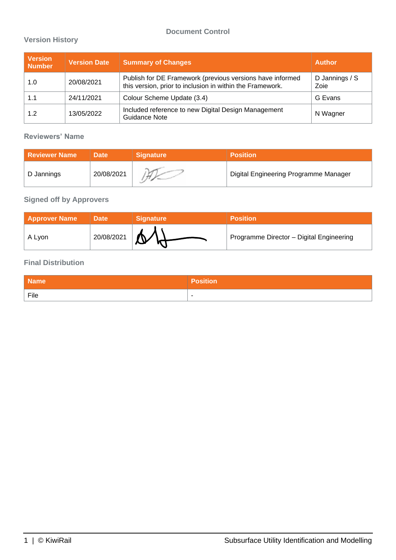#### **Document Control**

#### **Version History**

| <b>Version</b><br><b>Number</b> | <b>Version Date</b> | <b>Summary of Changes</b>                                                                                              | <b>Author</b>          |
|---------------------------------|---------------------|------------------------------------------------------------------------------------------------------------------------|------------------------|
| 1.0                             | 20/08/2021          | Publish for DE Framework (previous versions have informed<br>this version, prior to inclusion in within the Framework. | D Jannings / S<br>Zoie |
| 1.1                             | 24/11/2021          | Colour Scheme Update (3.4)                                                                                             | G Evans                |
| 1.2                             | 13/05/2022          | Included reference to new Digital Design Management<br><b>Guidance Note</b>                                            | N Wagner               |

#### **Reviewers' Name**

| <b>Reviewer Name</b> | <b>Date</b> | <b>Signature</b> | <b>Position</b>                       |
|----------------------|-------------|------------------|---------------------------------------|
| D Jannings           | 20/08/2021  |                  | Digital Engineering Programme Manager |

#### **Signed off by Approvers**

| <b>Approver Name</b> | <b>Date</b> | <b>Signature</b> | <b>Position</b>                          |
|----------------------|-------------|------------------|------------------------------------------|
| A Lyon               | 20/08/2021  |                  | Programme Director - Digital Engineering |

#### **Final Distribution**

| <b>Name</b> | Position                 |
|-------------|--------------------------|
| File        | $\overline{\phantom{a}}$ |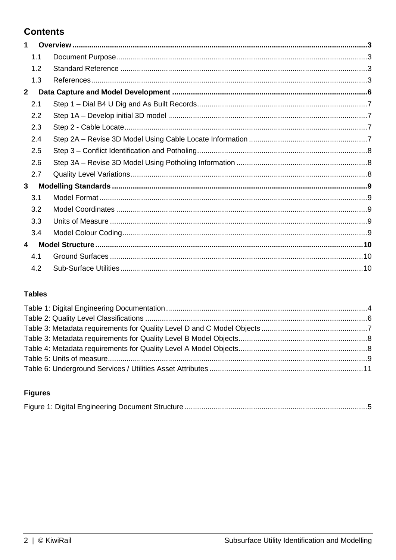# **Contents**

| 1              |     |  |
|----------------|-----|--|
|                | 1.1 |  |
|                | 1.2 |  |
|                | 1.3 |  |
| 2 <sup>1</sup> |     |  |
|                | 2.1 |  |
|                | 2.2 |  |
|                | 2.3 |  |
|                | 2.4 |  |
|                | 2.5 |  |
|                | 2.6 |  |
|                | 2.7 |  |
| 3              |     |  |
|                | 3.1 |  |
|                | 3.2 |  |
|                | 3.3 |  |
|                | 3.4 |  |
| 4              |     |  |
|                | 4.1 |  |
|                | 4.2 |  |
|                |     |  |

#### **Tables**

# **Figures**

|--|--|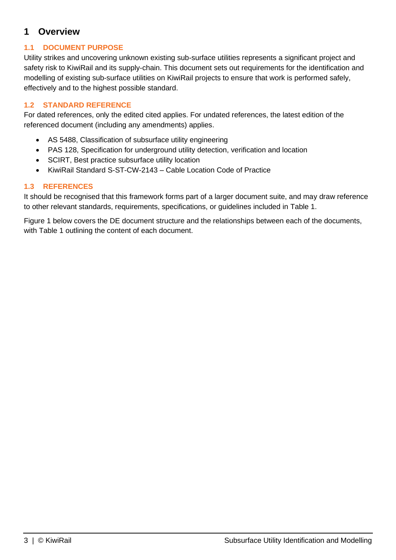## <span id="page-3-0"></span>**1 Overview**

#### <span id="page-3-1"></span>**1.1 DOCUMENT PURPOSE**

Utility strikes and uncovering unknown existing sub-surface utilities represents a significant project and safety risk to KiwiRail and its supply-chain. This document sets out requirements for the identification and modelling of existing sub-surface utilities on KiwiRail projects to ensure that work is performed safely, effectively and to the highest possible standard.

#### <span id="page-3-2"></span>**1.2 STANDARD REFERENCE**

For dated references, only the edited cited applies. For undated references, the latest edition of the referenced document (including any amendments) applies.

- AS 5488, Classification of subsurface utility engineering
- PAS 128, Specification for underground utility detection, verification and location
- SCIRT, Best practice subsurface utility location
- KiwiRail Standard S-ST-CW-2143 Cable Location Code of Practice

#### <span id="page-3-3"></span>**1.3 REFERENCES**

It should be recognised that this framework forms part of a larger document suite, and may draw reference to other relevant standards, requirements, specifications, or guidelines included in [Table 1.](#page-4-0)

[Figure 1](#page-5-0) below covers the DE document structure and the relationships between each of the documents, with [Table 1](#page-4-0) outlining the content of each document.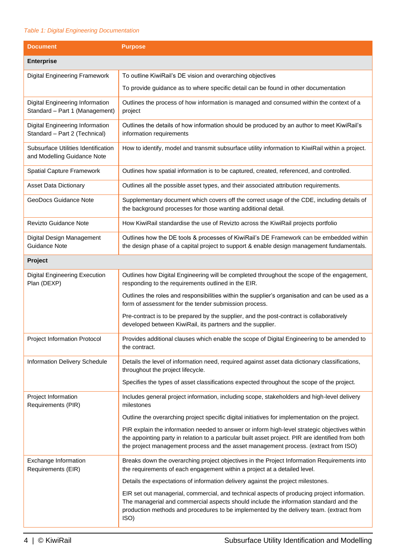#### <span id="page-4-0"></span>*Table 1: Digital Engineering Documentation*

| <b>Document</b>                                                    | <b>Purpose</b>                                                                                                                                                                                                                                                                             |  |  |  |
|--------------------------------------------------------------------|--------------------------------------------------------------------------------------------------------------------------------------------------------------------------------------------------------------------------------------------------------------------------------------------|--|--|--|
| <b>Enterprise</b>                                                  |                                                                                                                                                                                                                                                                                            |  |  |  |
| Digital Engineering Framework                                      | To outline KiwiRail's DE vision and overarching objectives                                                                                                                                                                                                                                 |  |  |  |
|                                                                    | To provide guidance as to where specific detail can be found in other documentation                                                                                                                                                                                                        |  |  |  |
| Digital Engineering Information<br>Standard - Part 1 (Management)  | Outlines the process of how information is managed and consumed within the context of a<br>project                                                                                                                                                                                         |  |  |  |
| Digital Engineering Information<br>Standard - Part 2 (Technical)   | Outlines the details of how information should be produced by an author to meet KiwiRail's<br>information requirements                                                                                                                                                                     |  |  |  |
| Subsurface Utilities Identification<br>and Modelling Guidance Note | How to identify, model and transmit subsurface utility information to KiwiRail within a project.                                                                                                                                                                                           |  |  |  |
| <b>Spatial Capture Framework</b>                                   | Outlines how spatial information is to be captured, created, referenced, and controlled.                                                                                                                                                                                                   |  |  |  |
| <b>Asset Data Dictionary</b>                                       | Outlines all the possible asset types, and their associated attribution requirements.                                                                                                                                                                                                      |  |  |  |
| GeoDocs Guidance Note                                              | Supplementary document which covers off the correct usage of the CDE, including details of<br>the background processes for those wanting additional detail.                                                                                                                                |  |  |  |
| Revizto Guidance Note                                              | How KiwiRail standardise the use of Revizto across the KiwiRail projects portfolio                                                                                                                                                                                                         |  |  |  |
| Digital Design Management<br>Guidance Note                         | Outlines how the DE tools & processes of KiwiRail's DE Framework can be embedded within<br>the design phase of a capital project to support & enable design management fundamentals.                                                                                                       |  |  |  |
| Project                                                            |                                                                                                                                                                                                                                                                                            |  |  |  |
| <b>Digital Engineering Execution</b><br>Plan (DEXP)                | Outlines how Digital Engineering will be completed throughout the scope of the engagement,<br>responding to the requirements outlined in the EIR.                                                                                                                                          |  |  |  |
|                                                                    | Outlines the roles and responsibilities within the supplier's organisation and can be used as a<br>form of assessment for the tender submission process.                                                                                                                                   |  |  |  |
|                                                                    | Pre-contract is to be prepared by the supplier, and the post-contract is collaboratively<br>developed between KiwiRail, its partners and the supplier.                                                                                                                                     |  |  |  |
| <b>Project Information Protocol</b>                                | Provides additional clauses which enable the scope of Digital Engineering to be amended to<br>the contract.                                                                                                                                                                                |  |  |  |
| Information Delivery Schedule                                      | Details the level of information need, required against asset data dictionary classifications,<br>throughout the project lifecycle.                                                                                                                                                        |  |  |  |
|                                                                    | Specifies the types of asset classifications expected throughout the scope of the project.                                                                                                                                                                                                 |  |  |  |
| Project Information<br>Requirements (PIR)                          | Includes general project information, including scope, stakeholders and high-level delivery<br>milestones                                                                                                                                                                                  |  |  |  |
|                                                                    | Outline the overarching project specific digital initiatives for implementation on the project.                                                                                                                                                                                            |  |  |  |
|                                                                    | PIR explain the information needed to answer or inform high-level strategic objectives within<br>the appointing party in relation to a particular built asset project. PIR are identified from both<br>the project management process and the asset management process. (extract from ISO) |  |  |  |
| Exchange Information<br>Requirements (EIR)                         | Breaks down the overarching project objectives in the Project Information Requirements into<br>the requirements of each engagement within a project at a detailed level.                                                                                                                   |  |  |  |
|                                                                    | Details the expectations of information delivery against the project milestones.                                                                                                                                                                                                           |  |  |  |
|                                                                    | EIR set out managerial, commercial, and technical aspects of producing project information.<br>The managerial and commercial aspects should include the information standard and the<br>production methods and procedures to be implemented by the delivery team. (extract from<br>ISO)    |  |  |  |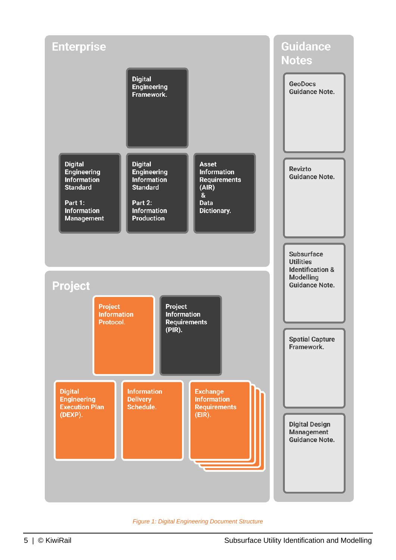

<span id="page-5-0"></span>*Figure 1: Digital Engineering Document Structure*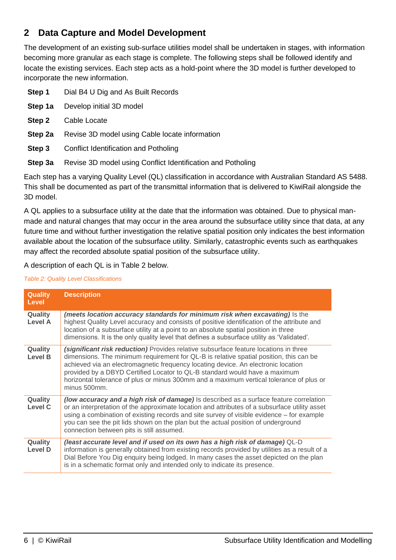# <span id="page-6-0"></span>**2 Data Capture and Model Development**

The development of an existing sub-surface utilities model shall be undertaken in stages, with information becoming more granular as each stage is complete. The following steps shall be followed identify and locate the existing services. Each step acts as a hold-point where the 3D model is further developed to incorporate the new information.

| Step 1  | Dial B4 U Dig and As Built Records                          |
|---------|-------------------------------------------------------------|
| Step 1a | Develop initial 3D model                                    |
| Step 2  | Cable Locate                                                |
| Step 2a | Revise 3D model using Cable locate information              |
| Step 3  | Conflict Identification and Potholing                       |
| Step 3a | Revise 3D model using Conflict Identification and Potholing |

Each step has a varying Quality Level (QL) classification in accordance with Australian Standard AS 5488. This shall be documented as part of the transmittal information that is delivered to KiwiRail alongside the 3D model.

A QL applies to a subsurface utility at the date that the information was obtained. Due to physical manmade and natural changes that may occur in the area around the subsurface utility since that data, at any future time and without further investigation the relative spatial position only indicates the best information available about the location of the subsurface utility. Similarly, catastrophic events such as earthquakes may affect the recorded absolute spatial position of the subsurface utility.

A description of each QL is in [Table 2](#page-6-1) below.

<span id="page-6-1"></span>*Table 2: Quality Level Classifications*

| <b>Quality</b><br>Level   | <b>Description</b>                                                                                                                                                                                                                                                                                                                                                                                                                                           |
|---------------------------|--------------------------------------------------------------------------------------------------------------------------------------------------------------------------------------------------------------------------------------------------------------------------------------------------------------------------------------------------------------------------------------------------------------------------------------------------------------|
| Quality<br><b>Level A</b> | (meets location accuracy standards for minimum risk when excavating) is the<br>highest Quality Level accuracy and consists of positive identification of the attribute and<br>location of a subsurface utility at a point to an absolute spatial position in three<br>dimensions. It is the only quality level that defines a subsurface utility as 'Validated'.                                                                                             |
| Quality<br><b>Level B</b> | (significant risk reduction) Provides relative subsurface feature locations in three<br>dimensions. The minimum requirement for QL-B is relative spatial position, this can be<br>achieved via an electromagnetic frequency locating device. An electronic location<br>provided by a DBYD Certified Locator to QL-B standard would have a maximum<br>horizontal tolerance of plus or minus 300mm and a maximum vertical tolerance of plus or<br>minus 500mm. |
| Quality<br><b>Level C</b> | (low accuracy and a high risk of damage) Is described as a surface feature correlation<br>or an interpretation of the approximate location and attributes of a subsurface utility asset<br>using a combination of existing records and site survey of visible evidence – for example<br>you can see the pit lids shown on the plan but the actual position of underground<br>connection between pits is still assumed.                                       |
| Quality<br>Level D        | (least accurate level and if used on its own has a high risk of damage) QL-D<br>information is generally obtained from existing records provided by utilities as a result of a<br>Dial Before You Dig enquiry being lodged. In many cases the asset depicted on the plan<br>is in a schematic format only and intended only to indicate its presence.                                                                                                        |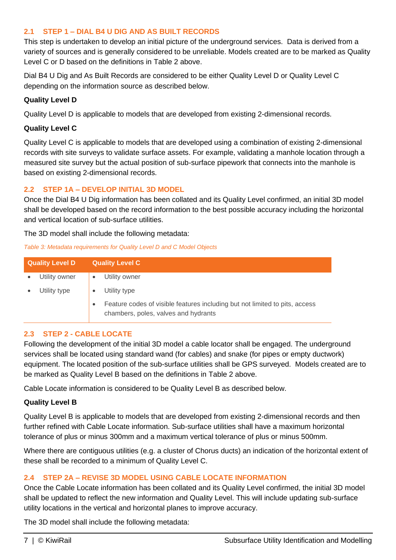#### <span id="page-7-0"></span>**2.1 STEP 1 – DIAL B4 U DIG AND AS BUILT RECORDS**

This step is undertaken to develop an initial picture of the underground services. Data is derived from a variety of sources and is generally considered to be unreliable. Models created are to be marked as Quality Level C or D based on the definitions in [Table 2](#page-6-1) above.

Dial B4 U Dig and As Built Records are considered to be either Quality Level D or Quality Level C depending on the information source as described below.

#### **Quality Level D**

Quality Level D is applicable to models that are developed from existing 2-dimensional records.

#### **Quality Level C**

Quality Level C is applicable to models that are developed using a combination of existing 2-dimensional records with site surveys to validate surface assets. For example, validating a manhole location through a measured site survey but the actual position of sub-surface pipework that connects into the manhole is based on existing 2-dimensional records.

#### <span id="page-7-1"></span>**2.2 STEP 1A – DEVELOP INITIAL 3D MODEL**

Once the Dial B4 U Dig information has been collated and its Quality Level confirmed, an initial 3D model shall be developed based on the record information to the best possible accuracy including the horizontal and vertical location of sub-surface utilities.

The 3D model shall include the following metadata:

#### <span id="page-7-4"></span>*Table 3: Metadata requirements for Quality Level D and C Model Objects*

| <b>Quality Level D</b> |               | <b>Quality Level C</b>                                                                                              |
|------------------------|---------------|---------------------------------------------------------------------------------------------------------------------|
|                        | Utility owner | Utility owner                                                                                                       |
|                        | Utility type  | Utility type                                                                                                        |
|                        |               | Feature codes of visible features including but not limited to pits, access<br>chambers, poles, valves and hydrants |

#### <span id="page-7-2"></span>**2.3 STEP 2 - CABLE LOCATE**

Following the development of the initial 3D model a cable locator shall be engaged. The underground services shall be located using standard wand (for cables) and snake (for pipes or empty ductwork) equipment. The located position of the sub-surface utilities shall be GPS surveyed. Models created are to be marked as Quality Level B based on the definitions in [Table 2](#page-6-1) above.

Cable Locate information is considered to be Quality Level B as described below.

#### **Quality Level B**

Quality Level B is applicable to models that are developed from existing 2-dimensional records and then further refined with Cable Locate information. Sub-surface utilities shall have a maximum horizontal tolerance of plus or minus 300mm and a maximum vertical tolerance of plus or minus 500mm.

Where there are contiguous utilities (e.g. a cluster of Chorus ducts) an indication of the horizontal extent of these shall be recorded to a minimum of Quality Level C.

#### <span id="page-7-3"></span>**2.4 STEP 2A – REVISE 3D MODEL USING CABLE LOCATE INFORMATION**

Once the Cable Locate information has been collated and its Quality Level confirmed, the initial 3D model shall be updated to reflect the new information and Quality Level. This will include updating sub-surface utility locations in the vertical and horizontal planes to improve accuracy.

The 3D model shall include the following metadata: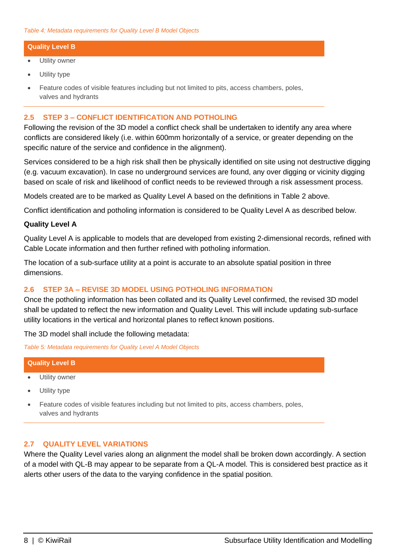#### <span id="page-8-3"></span>**Quality Level B**

- Utility owner
- Utility type
- Feature codes of visible features including but not limited to pits, access chambers, poles, valves and hydrants

#### <span id="page-8-0"></span>**2.5 STEP 3 – CONFLICT IDENTIFICATION AND POTHOLING**

Following the revision of the 3D model a conflict check shall be undertaken to identify any area where conflicts are considered likely (i.e. within 600mm horizontally of a service, or greater depending on the specific nature of the service and confidence in the alignment).

Services considered to be a high risk shall then be physically identified on site using not destructive digging (e.g. vacuum excavation). In case no underground services are found, any over digging or vicinity digging based on scale of risk and likelihood of conflict needs to be reviewed through a risk assessment process.

Models created are to be marked as Quality Level A based on the definitions in [Table 2](#page-6-1) above.

Conflict identification and potholing information is considered to be Quality Level A as described below.

#### **Quality Level A**

Quality Level A is applicable to models that are developed from existing 2-dimensional records, refined with Cable Locate information and then further refined with potholing information.

The location of a sub-surface utility at a point is accurate to an absolute spatial position in three dimensions.

#### <span id="page-8-1"></span>**2.6 STEP 3A – REVISE 3D MODEL USING POTHOLING INFORMATION**

Once the potholing information has been collated and its Quality Level confirmed, the revised 3D model shall be updated to reflect the new information and Quality Level. This will include updating sub-surface utility locations in the vertical and horizontal planes to reflect known positions.

The 3D model shall include the following metadata:

<span id="page-8-4"></span>*Table 5: Metadata requirements for Quality Level A Model Objects*

# **Quality Level B**

- Utility owner
- Utility type
- Feature codes of visible features including but not limited to pits, access chambers, poles, valves and hydrants

#### <span id="page-8-2"></span>**2.7 QUALITY LEVEL VARIATIONS**

Where the Quality Level varies along an alignment the model shall be broken down accordingly. A section of a model with QL-B may appear to be separate from a QL-A model. This is considered best practice as it alerts other users of the data to the varying confidence in the spatial position.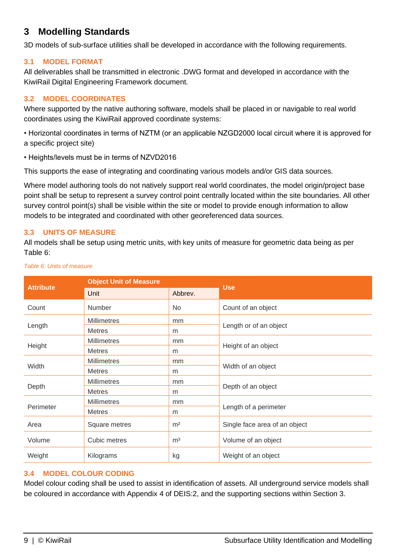# <span id="page-9-0"></span>**3 Modelling Standards**

3D models of sub-surface utilities shall be developed in accordance with the following requirements.

#### <span id="page-9-1"></span>**3.1 MODEL FORMAT**

All deliverables shall be transmitted in electronic .DWG format and developed in accordance with the KiwiRail Digital Engineering Framework document.

#### <span id="page-9-2"></span>**3.2 MODEL COORDINATES**

Where supported by the native authoring software, models shall be placed in or navigable to real world coordinates using the KiwiRail approved coordinate systems:

• Horizontal coordinates in terms of NZTM (or an applicable NZGD2000 local circuit where it is approved for a specific project site)

• Heights/levels must be in terms of NZVD2016

This supports the ease of integrating and coordinating various models and/or GIS data sources.

Where model authoring tools do not natively support real world coordinates, the model origin/project base point shall be setup to represent a survey control point centrally located within the site boundaries. All other survey control point(s) shall be visible within the site or model to provide enough information to allow models to be integrated and coordinated with other georeferenced data sources.

#### <span id="page-9-3"></span>**3.3 UNITS OF MEASURE**

All models shall be setup using metric units, with key units of measure for geometric data being as per [Table](#page-9-5) 6:

|                  | <b>Object Unit of Measure</b> |                | <b>Use</b>                    |  |
|------------------|-------------------------------|----------------|-------------------------------|--|
| <b>Attribute</b> | Unit                          | Abbrev.        |                               |  |
| Count            | <b>Number</b>                 | No.            | Count of an object            |  |
|                  | <b>Millimetres</b>            | mm             |                               |  |
| Length           | <b>Metres</b>                 | m              | Length or of an object        |  |
|                  | <b>Millimetres</b>            | mm             |                               |  |
| Height           | <b>Metres</b>                 | m              | Height of an object           |  |
|                  | <b>Millimetres</b>            | mm             |                               |  |
| Width            | <b>Metres</b>                 | m              | Width of an object            |  |
|                  | <b>Millimetres</b>            | mm             |                               |  |
| Depth            | <b>Metres</b>                 | m              | Depth of an object            |  |
|                  | <b>Millimetres</b>            | mm             |                               |  |
| Perimeter        | <b>Metres</b>                 | m              | Length of a perimeter         |  |
| Area             | Square metres                 | m <sup>2</sup> | Single face area of an object |  |
| Volume           | Cubic metres                  | m <sup>3</sup> | Volume of an object           |  |
| Weight           | Kilograms                     | kg             | Weight of an object           |  |

<span id="page-9-5"></span>*Table 6: Units of measure*

#### <span id="page-9-4"></span>**3.4 MODEL COLOUR CODING**

Model colour coding shall be used to assist in identification of assets. All underground service models shall be coloured in accordance with Appendix 4 of DEIS:2, and the supporting sections within Section 3.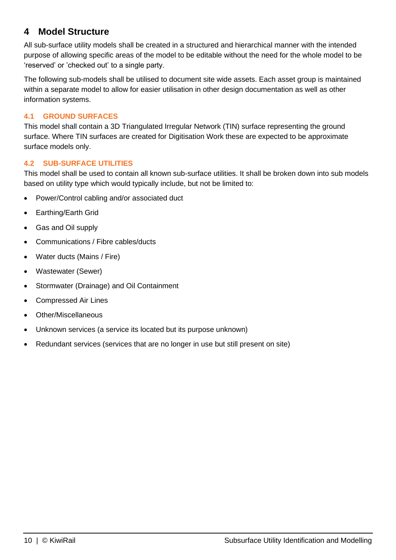## <span id="page-10-0"></span>**4 Model Structure**

All sub-surface utility models shall be created in a structured and hierarchical manner with the intended purpose of allowing specific areas of the model to be editable without the need for the whole model to be 'reserved' or 'checked out' to a single party.

The following sub-models shall be utilised to document site wide assets. Each asset group is maintained within a separate model to allow for easier utilisation in other design documentation as well as other information systems.

#### <span id="page-10-1"></span>**4.1 GROUND SURFACES**

This model shall contain a 3D Triangulated Irregular Network (TIN) surface representing the ground surface. Where TIN surfaces are created for Digitisation Work these are expected to be approximate surface models only.

#### <span id="page-10-2"></span>**4.2 SUB-SURFACE UTILITIES**

This model shall be used to contain all known sub-surface utilities. It shall be broken down into sub models based on utility type which would typically include, but not be limited to:

- Power/Control cabling and/or associated duct
- Earthing/Earth Grid
- Gas and Oil supply
- Communications / Fibre cables/ducts
- Water ducts (Mains / Fire)
- Wastewater (Sewer)
- Stormwater (Drainage) and Oil Containment
- Compressed Air Lines
- Other/Miscellaneous
- Unknown services (a service its located but its purpose unknown)
- Redundant services (services that are no longer in use but still present on site)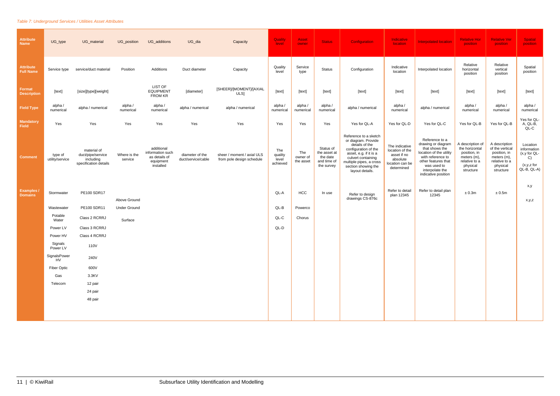#### <span id="page-11-0"></span>*Table 7: Underground Services / Utilities Asset Attributes*

| <b>Attribute</b><br><b>Name</b>      | UG_type                    | UG_material                                                            | UG_position             | UG_additions                                                              | UG_dia                                | Capacity                                                | Quality<br>level                    | Asset<br>owner               | <b>Status</b>                                                      | Configuration                                                                                                                                                                                               | Indicative<br>location                                                                        | <b>Interpolated location</b>                                                                                                                                                           | <b>Relative Hor</b><br>position                                                                             | <b>Relative Ver</b><br>position                                                                           | <b>Spatial</b><br><b>position</b>                                              |
|--------------------------------------|----------------------------|------------------------------------------------------------------------|-------------------------|---------------------------------------------------------------------------|---------------------------------------|---------------------------------------------------------|-------------------------------------|------------------------------|--------------------------------------------------------------------|-------------------------------------------------------------------------------------------------------------------------------------------------------------------------------------------------------------|-----------------------------------------------------------------------------------------------|----------------------------------------------------------------------------------------------------------------------------------------------------------------------------------------|-------------------------------------------------------------------------------------------------------------|-----------------------------------------------------------------------------------------------------------|--------------------------------------------------------------------------------|
| <b>Attribute</b><br><b>Full Name</b> | Service type               | service/duct material                                                  | Position                | Additions                                                                 | Duct diameter                         | Capacity                                                | Quality<br>level                    | Service<br>type              | <b>Status</b>                                                      | Configuration                                                                                                                                                                                               | Indicative<br>location                                                                        | Interpolated location                                                                                                                                                                  | Relative<br>horizontal<br>position                                                                          | Relative<br>vertical<br>position                                                                          | Spatial<br>position                                                            |
| Format<br><b>Description</b>         | [text]                     | [size][type][weight]                                                   |                         | LIST OF<br><b>EQUIPMENT</b><br>FROM KR                                    | [diameter]                            | [SHEER]/[MOMENT]/[AXIAL<br>ULS]                         | [text]                              | [text]                       | [text]                                                             | [text]                                                                                                                                                                                                      | [text]                                                                                        | [text]                                                                                                                                                                                 | [text]                                                                                                      | [text]                                                                                                    | [text]                                                                         |
| <b>Field Type</b>                    | alpha /<br>numerical       | alpha / numerical                                                      | alpha /<br>numerical    | alpha /<br>numerical                                                      | alpha / numerical                     | alpha / numerical                                       | alpha /<br>numerical                | alpha /<br>numerical         | alpha/<br>numerical                                                | alpha / numerical                                                                                                                                                                                           | alpha /<br>numerical                                                                          | alpha / numerical                                                                                                                                                                      | alpha /<br>numerical                                                                                        | alpha /<br>numerical                                                                                      | alpha /<br>numerical                                                           |
| <b>Mandatory</b><br>Field            | Yes                        | Yes                                                                    | Yes                     | Yes                                                                       | Yes                                   | Yes                                                     | Yes                                 | Yes                          | Yes                                                                | Yes for QL-A                                                                                                                                                                                                | Yes for QL-D                                                                                  | Yes for QL-C                                                                                                                                                                           | Yes for QL-B                                                                                                | Yes for QL-B                                                                                              | Yes for QL-<br>A, QL-B,<br>$QL-C$                                              |
| <b>Comment</b>                       | type of<br>utility/service | material of<br>duct/pipe/service<br>including<br>specification details | Where is the<br>service | additional<br>information such<br>as details of<br>equipment<br>installed | diameter of the<br>duct/service/cable | sheer / moment / axial ULS<br>from pole design schedule | The<br>quality<br>level<br>achieved | The<br>owner of<br>the asset | Status of<br>the asset at<br>the date<br>and time of<br>the survey | Reference to a sketch<br>or diagram. Provide<br>details of the<br>configuration of the<br>asset, e.g. if it is a<br>culvert containing<br>multiple pipes, a cross<br>section showing the<br>layout details. | The indicative<br>location of the<br>asset if no<br>absolute<br>location can be<br>determined | Reference to a<br>drawing or diagram<br>that shows the<br>location of the utility<br>with reference to<br>other features that<br>was used to<br>interpolate the<br>indicative position | A description of<br>the horizontal<br>position, in<br>meters (m),<br>relative to a<br>physical<br>structure | A description<br>of the vertical<br>position, in<br>meters (m),<br>relative to a<br>physical<br>structure | Location<br>information<br>(x,y for QL-<br>C)<br>$(x,y,z$ for<br>$QL-B, QL-A)$ |
| <b>Examples</b><br><b>Domains</b>    | Stormwater                 | PE100 SDR17                                                            | Above Ground            |                                                                           |                                       |                                                         | QL-A                                | <b>HCC</b>                   | In use                                                             | Refer to design<br>drawings CS-876c                                                                                                                                                                         | Refer to detail<br>plan 12345                                                                 | Refer to detail plan<br>12345                                                                                                                                                          | ± 0.3m                                                                                                      | ± 0.5m                                                                                                    | x,y<br>x,y,z                                                                   |
|                                      | Wastewater                 | PE100 SDR11                                                            | <b>Under Ground</b>     |                                                                           |                                       |                                                         | QL-B                                | Powerco                      |                                                                    |                                                                                                                                                                                                             |                                                                                               |                                                                                                                                                                                        |                                                                                                             |                                                                                                           |                                                                                |
|                                      | Potable<br>Water           | Class 2 RCRRJ                                                          | Surface                 |                                                                           |                                       |                                                         | QL-C                                | Chorus                       |                                                                    |                                                                                                                                                                                                             |                                                                                               |                                                                                                                                                                                        |                                                                                                             |                                                                                                           |                                                                                |
|                                      | Power LV                   | Class 3 RCRRJ                                                          |                         |                                                                           |                                       |                                                         | QL-D                                |                              |                                                                    |                                                                                                                                                                                                             |                                                                                               |                                                                                                                                                                                        |                                                                                                             |                                                                                                           |                                                                                |
|                                      | Power HV                   | Class 4 RCRRJ                                                          |                         |                                                                           |                                       |                                                         |                                     |                              |                                                                    |                                                                                                                                                                                                             |                                                                                               |                                                                                                                                                                                        |                                                                                                             |                                                                                                           |                                                                                |
|                                      | Signals<br>Power LV        | 110V                                                                   |                         |                                                                           |                                       |                                                         |                                     |                              |                                                                    |                                                                                                                                                                                                             |                                                                                               |                                                                                                                                                                                        |                                                                                                             |                                                                                                           |                                                                                |
|                                      | SignalsPower<br>HV         | 240V                                                                   |                         |                                                                           |                                       |                                                         |                                     |                              |                                                                    |                                                                                                                                                                                                             |                                                                                               |                                                                                                                                                                                        |                                                                                                             |                                                                                                           |                                                                                |
|                                      | <b>Fiber Optic</b>         | 600V                                                                   |                         |                                                                           |                                       |                                                         |                                     |                              |                                                                    |                                                                                                                                                                                                             |                                                                                               |                                                                                                                                                                                        |                                                                                                             |                                                                                                           |                                                                                |
|                                      | Gas                        | 3.3KV                                                                  |                         |                                                                           |                                       |                                                         |                                     |                              |                                                                    |                                                                                                                                                                                                             |                                                                                               |                                                                                                                                                                                        |                                                                                                             |                                                                                                           |                                                                                |
|                                      | Telecom                    | 12 pair                                                                |                         |                                                                           |                                       |                                                         |                                     |                              |                                                                    |                                                                                                                                                                                                             |                                                                                               |                                                                                                                                                                                        |                                                                                                             |                                                                                                           |                                                                                |
|                                      |                            | 24 pair                                                                |                         |                                                                           |                                       |                                                         |                                     |                              |                                                                    |                                                                                                                                                                                                             |                                                                                               |                                                                                                                                                                                        |                                                                                                             |                                                                                                           |                                                                                |
|                                      |                            | 48 pair                                                                |                         |                                                                           |                                       |                                                         |                                     |                              |                                                                    |                                                                                                                                                                                                             |                                                                                               |                                                                                                                                                                                        |                                                                                                             |                                                                                                           |                                                                                |
|                                      |                            |                                                                        |                         |                                                                           |                                       |                                                         |                                     |                              |                                                                    |                                                                                                                                                                                                             |                                                                                               |                                                                                                                                                                                        |                                                                                                             |                                                                                                           |                                                                                |
|                                      |                            |                                                                        |                         |                                                                           |                                       |                                                         |                                     |                              |                                                                    |                                                                                                                                                                                                             |                                                                                               |                                                                                                                                                                                        |                                                                                                             |                                                                                                           |                                                                                |